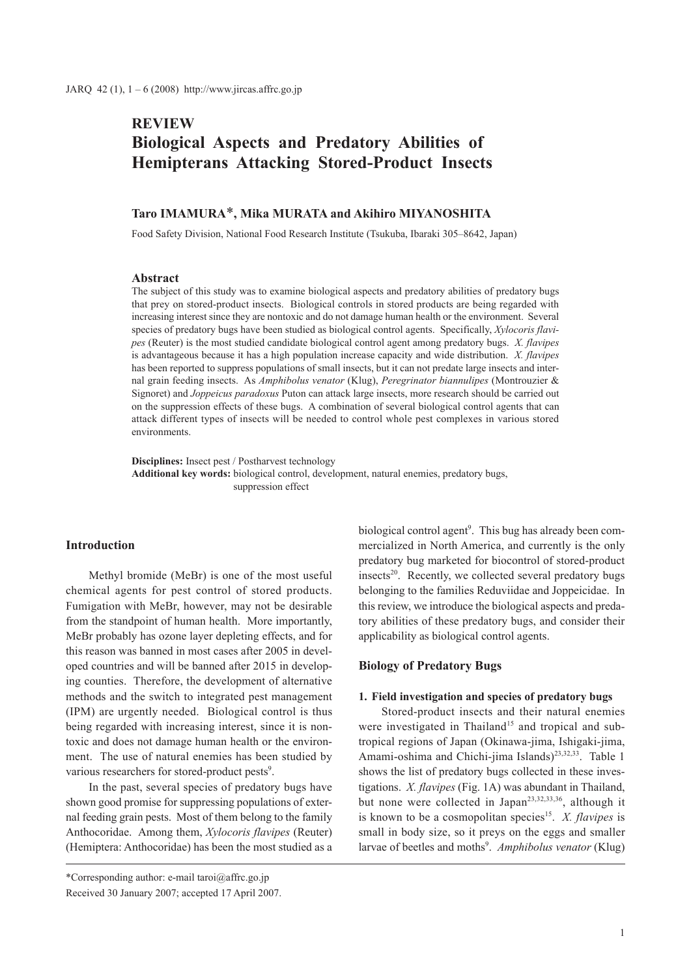# **REVIEW Biological Aspects and Predatory Abilities of Hemipterans Attacking Stored-Product Insects**

# **Taro IMAMURA**\***, Mika MURATA and Akihiro MIYANOSHITA**

Food Safety Division, National Food Research Institute (Tsukuba, Ibaraki 305–8642, Japan)

### **Abstract**

The subject of this study was to examine biological aspects and predatory abilities of predatory bugs that prey on stored-product insects. Biological controls in stored products are being regarded with increasing interest since they are nontoxic and do not damage human health or the environment. Several species of predatory bugs have been studied as biological control agents. Specifically, *Xylocoris flavipes* (Reuter) is the most studied candidate biological control agent among predatory bugs. *X. flavipes* is advantageous because it has a high population increase capacity and wide distribution. *X. flavipes* has been reported to suppress populations of small insects, but it can not predate large insects and internal grain feeding insects. As *Amphibolus venator* (Klug), *Peregrinator biannulipes* (Montrouzier & Signoret) and *Joppeicus paradoxus* Puton can attack large insects, more research should be carried out on the suppression effects of these bugs. A combination of several biological control agents that can attack different types of insects will be needed to control whole pest complexes in various stored environments.

**Disciplines:** Insect pest / Postharvest technology **Additional key words:** biological control, development, natural enemies, predatory bugs, suppression effect

### **Introduction**

Methyl bromide (MeBr) is one of the most useful chemical agents for pest control of stored products. Fumigation with MeBr, however, may not be desirable from the standpoint of human health. More importantly, MeBr probably has ozone layer depleting effects, and for this reason was banned in most cases after 2005 in developed countries and will be banned after 2015 in developing counties. Therefore, the development of alternative methods and the switch to integrated pest management (IPM) are urgently needed. Biological control is thus being regarded with increasing interest, since it is nontoxic and does not damage human health or the environment. The use of natural enemies has been studied by various researchers for stored-product pests<sup>9</sup>.

In the past, several species of predatory bugs have shown good promise for suppressing populations of external feeding grain pests. Most of them belong to the family Anthocoridae. Among them, *Xylocoris flavipes* (Reuter) (Hemiptera: Anthocoridae) has been the most studied as a

\*Corresponding author: e-mail taroi@affrc.go.jp Received 30 January 2007; accepted 17 April 2007. biological control agent<sup>9</sup>. This bug has already been commercialized in North America, and currently is the only predatory bug marketed for biocontrol of stored-product insects<sup>20</sup>. Recently, we collected several predatory bugs belonging to the families Reduviidae and Joppeicidae. In this review, we introduce the biological aspects and predatory abilities of these predatory bugs, and consider their applicability as biological control agents.

# **Biology of Predatory Bugs**

### **1. Field investigation and species of predatory bugs**

Stored-product insects and their natural enemies were investigated in Thailand<sup>15</sup> and tropical and subtropical regions of Japan (Okinawa-jima, Ishigaki-jima, Amami-oshima and Chichi-jima Islands)<sup>23,32,33</sup>. Table 1 shows the list of predatory bugs collected in these investigations. *X. flavipes* (Fig. 1A) was abundant in Thailand, but none were collected in Japan<sup>23,32,33,36</sup>, although it is known to be a cosmopolitan species<sup>15</sup>. *X. flavipes* is small in body size, so it preys on the eggs and smaller larvae of beetles and moths<sup>9</sup>. Amphibolus venator (Klug)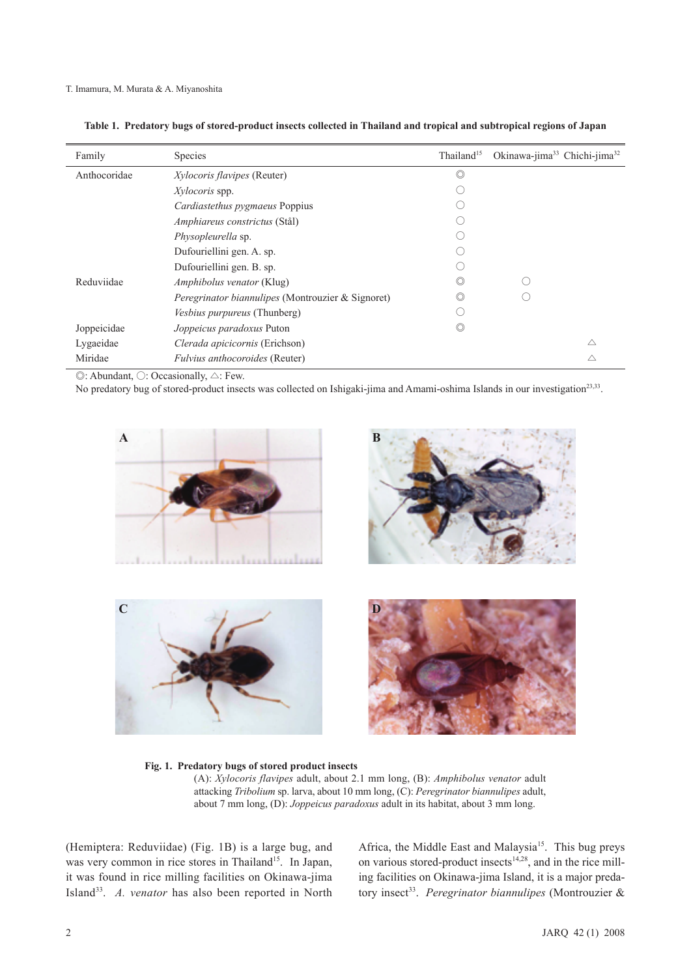#### T. Imamura, M. Murata & A. Miyanoshita

| Family<br><b>Species</b>                                 | Thailand <sup>15</sup> | Okinawa-jima <sup>33</sup> Chichi-jima <sup>32</sup> |
|----------------------------------------------------------|------------------------|------------------------------------------------------|
| Anthocoridae<br>Xylocoris flavipes (Reuter)              | $\circledcirc$         |                                                      |
| <i>Xylocoris</i> spp.                                    |                        |                                                      |
| Cardiastethus pygmaeus Poppius                           |                        |                                                      |
| Amphiareus constrictus (Stål)                            |                        |                                                      |
| Physopleurella sp.                                       |                        |                                                      |
| Dufouriellini gen. A. sp.                                |                        |                                                      |
| Dufouriellini gen. B. sp.                                |                        |                                                      |
| Reduviidae<br><i>Amphibolus venator</i> (Klug)           | O                      |                                                      |
| <i>Peregrinator biannulipes</i> (Montrouzier & Signoret) | O                      |                                                      |
| <i>Vesbius purpureus</i> (Thunberg)                      |                        |                                                      |
| Joppeicidae<br>Joppeicus paradoxus Puton                 | $\circledcirc$         |                                                      |
| Lygaeidae<br>Clerada apicicornis (Erichson)              |                        | $\triangle$                                          |
| Miridae<br>Fulvius anthocoroides (Reuter)                |                        | $\triangle$                                          |

**Table 1. Predatory bugs of stored-product insects collected in Thailand and tropical and subtropical regions of Japan**

◎: Abundant, ○: Occasionally, △: Few.

No predatory bug of stored-product insects was collected on Ishigaki-jima and Amami-oshima Islands in our investigation<sup>23,33</sup>.









**Fig. 1. Predatory bugs of stored product insects** (A): *Xylocoris flavipes* adult, about 2.1 mm long, (B): *Amphibolus venator* adult attacking *Tribolium* sp. larva, about 10 mm long, (C): *Peregrinator biannulipes* adult, about 7 mm long, (D): *Joppeicus paradoxus* adult in its habitat, about 3 mm long.

(Hemiptera: Reduviidae) (Fig. 1B) is a large bug, and was very common in rice stores in Thailand<sup>15</sup>. In Japan, it was found in rice milling facilities on Okinawa-jima Island<sup>33</sup>. *A. venator* has also been reported in North

Africa, the Middle East and Malaysia<sup>15</sup>. This bug preys on various stored-product insects<sup>14,28</sup>, and in the rice milling facilities on Okinawa-jima Island, it is a major predatory insect<sup>33</sup>. *Peregrinator biannulipes* (Montrouzier &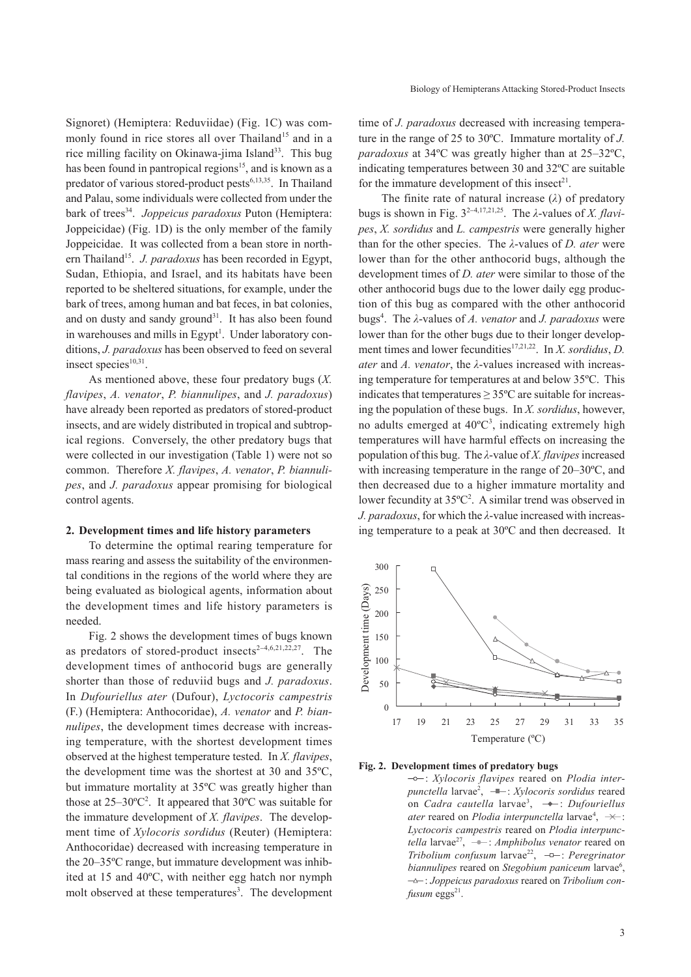Signoret) (Hemiptera: Reduviidae) (Fig. 1C) was commonly found in rice stores all over Thailand<sup>15</sup> and in a rice milling facility on Okinawa-jima Island<sup>33</sup>. This bug has been found in pantropical regions<sup>15</sup>, and is known as a predator of various stored-product pests $6,13,35$ . In Thailand and Palau, some individuals were collected from under the bark of trees<sup>34</sup>. *Joppeicus paradoxus* Puton (Hemiptera: Joppeicidae) (Fig. 1D) is the only member of the family Joppeicidae. It was collected from a bean store in northern Thailand<sup>15</sup>. *J. paradoxus* has been recorded in Egypt, Sudan, Ethiopia, and Israel, and its habitats have been reported to be sheltered situations, for example, under the bark of trees, among human and bat feces, in bat colonies, and on dusty and sandy ground<sup>31</sup>. It has also been found in warehouses and mills in Egypt<sup>1</sup>. Under laboratory conditions, *J. paradoxus* has been observed to feed on several insect species $10,31$ .

As mentioned above, these four predatory bugs (*X. flavipes*, *A. venator*, *P. biannulipes*, and *J. paradoxus*) have already been reported as predators of stored-product insects, and are widely distributed in tropical and subtropical regions. Conversely, the other predatory bugs that were collected in our investigation (Table 1) were not so common. Therefore *X. flavipes*, *A. venator*, *P. biannulipes*, and *J. paradoxus* appear promising for biological control agents.

### **2. Development times and life history parameters**

To determine the optimal rearing temperature for mass rearing and assess the suitability of the environmental conditions in the regions of the world where they are being evaluated as biological agents, information about the development times and life history parameters is needed.

Fig. 2 shows the development times of bugs known as predators of stored-product insects<sup>2-4,6,21,22,27</sup>. The development times of anthocorid bugs are generally shorter than those of reduviid bugs and *J. paradoxus*. In *Dufouriellus ater* (Dufour), *Lyctocoris campestris* (F.) (Hemiptera: Anthocoridae), *A. venator* and *P. biannulipes*, the development times decrease with increasing temperature, with the shortest development times observed at the highest temperature tested. In *X. flavipes*, the development time was the shortest at 30 and 35ºC, but immature mortality at 35ºC was greatly higher than those at  $25-30^{\circ}$ C<sup>2</sup>. It appeared that  $30^{\circ}$ C was suitable for the immature development of *X. flavipes*. The development time of *Xylocoris sordidus* (Reuter) (Hemiptera: Anthocoridae) decreased with increasing temperature in the 20–35ºC range, but immature development was inhibited at 15 and 40ºC, with neither egg hatch nor nymph molt observed at these temperatures<sup>3</sup>. The development

time of *J. paradoxus* decreased with increasing temperature in the range of 25 to 30ºC. Immature mortality of *J. paradoxus* at 34ºC was greatly higher than at 25–32ºC, indicating temperatures between 30 and 32ºC are suitable for the immature development of this insect<sup>21</sup>.

The finite rate of natural increase (*λ*) of predatory bugs is shown in Fig.  $3^{2-4,17,21,25}$ . The *λ*-values of *X. flavipes*, *X. sordidus* and *L. campestris* were generally higher than for the other species. The *λ*-values of *D. ater* were lower than for the other anthocorid bugs, although the development times of *D. ater* were similar to those of the other anthocorid bugs due to the lower daily egg production of this bug as compared with the other anthocorid bugs4 . The *λ*-values of *A. venator* and *J. paradoxus* were lower than for the other bugs due to their longer development times and lower fecundities<sup>17,21,22</sup>. In *X. sordidus*, *D. ater* and *A. venator*, the *λ*-values increased with increasing temperature for temperatures at and below 35ºC. This indicates that temperatures  $\geq$  35°C are suitable for increasing the population of these bugs. In *X. sordidus*, however, no adults emerged at  $40^{\circ}C^3$ , indicating extremely high temperatures will have harmful effects on increasing the population of this bug. The *λ*-value of *X. flavipes* increased with increasing temperature in the range of 20–30ºC, and then decreased due to a higher immature mortality and lower fecundity at  $35^{\circ}C^2$ . A similar trend was observed in *J. paradoxus*, for which the *λ*-value increased with increasing temperature to a peak at 30ºC and then decreased. It



#### **Fig. 2. Development times of predatory bugs**

: *Xylocoris flavipes* reared on *Plodia interpunctella* larvae2 , : *Xylocoris sordidus* reared on *Cadra cautella* larvae3 , : *Dufouriellus ater* reared on *Plodia interpunctella* larvae<sup>4</sup>,  $\rightarrow$ : *Lyctocoris campestris* reared on *Plodia interpunctella* larvae<sup>27</sup>,  $\rightarrow$  *Amphibolus venator* reared on *Tribolium confusum* larvae<sup>22</sup>,  $\neg$  *Peregrinator* biannulipes reared on Stegobium paniceum larvae<sup>6</sup>, : *Joppeicus paradoxus* reared on *Tribolium confusum* eggs<sup>21</sup>.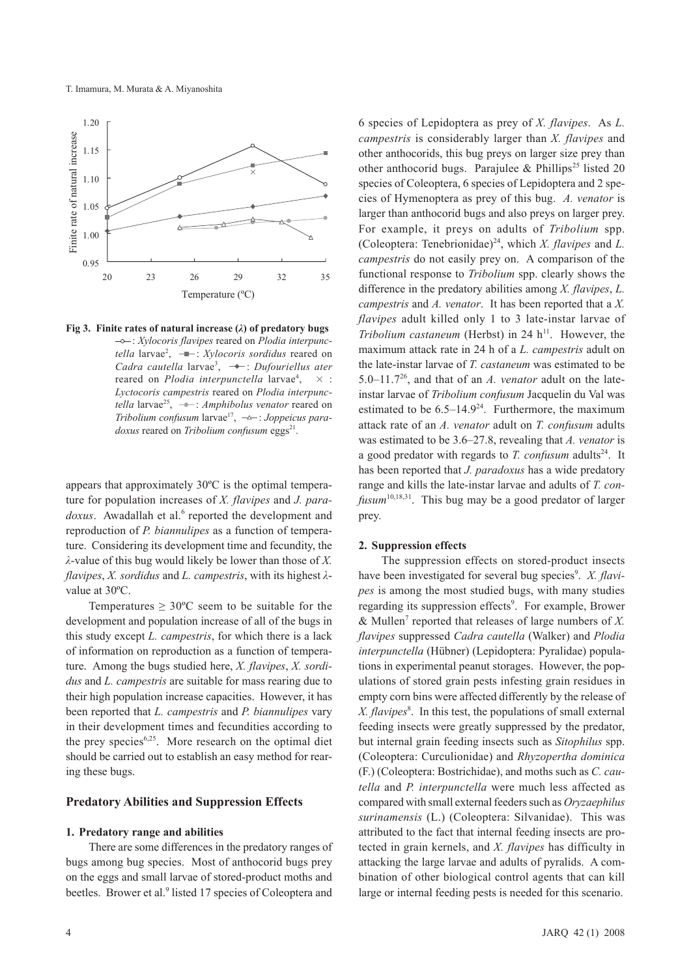

**Fig 3. Finite rates of natural increase (***λ***) of predatory bugs** : *Xylocoris flavipes* reared on *Plodia interpunctella* larvae2 , : *Xylocoris sordidus* reared on Cadra cautella larvae<sup>3</sup>, →: *Dufouriellus ater* reared on *Plodia interpunctella* larvae<sup>4</sup>,  $\times$  : *Lyctocoris campestris* reared on *Plodia interpunctella* larvae<sup>25</sup>,  $-\rightarrow$ : *Amphibolus venator* reared on *Tribolium confusum* larvae<sup>17</sup>,  $\rightarrow$  *: Joppeicus para*doxus reared on *Tribolium confusum* eggs<sup>21</sup>.

appears that approximately 30ºC is the optimal temperature for population increases of *X. flavipes* and *J. para*doxus. Awadallah et al.<sup>6</sup> reported the development and reproduction of *P. biannulipes* as a function of temperature. Considering its development time and fecundity, the *λ*-value of this bug would likely be lower than those of *X. flavipes*, *X. sordidus* and *L. campestris*, with its highest *λ*value at 30ºC.

Temperatures  $\geq 30^{\circ}$ C seem to be suitable for the development and population increase of all of the bugs in this study except *L. campestris*, for which there is a lack of information on reproduction as a function of temperature. Among the bugs studied here, *X. flavipes*, *X. sordidus* and *L. campestris* are suitable for mass rearing due to their high population increase capacities. However, it has been reported that *L. campestris* and *P. biannulipes* vary in their development times and fecundities according to the prey species $6,25$ . More research on the optimal diet should be carried out to establish an easy method for rearing these bugs.

### **Predatory Abilities and Suppression Effects**

#### **1. Predatory range and abilities**

There are some differences in the predatory ranges of bugs among bug species. Most of anthocorid bugs prey on the eggs and small larvae of stored-product moths and beetles. Brower et al.<sup>9</sup> listed 17 species of Coleoptera and

 $\overline{4}$ 

6 species of Lepidoptera as prey of *X. flavipes*. As *L. campestris* is considerably larger than *X. flavipes* and other anthocorids, this bug preys on larger size prey than other anthocorid bugs. Parajulee & Phillips<sup>25</sup> listed 20 species of Coleoptera, 6 species of Lepidoptera and 2 species of Hymenoptera as prey of this bug. *A. venator* is larger than anthocorid bugs and also preys on larger prey. For example, it preys on adults of *Tribolium* spp. (Coleoptera: Tenebrionidae)<sup>24</sup>, which *X. flavipes* and *L. campestris* do not easily prey on. A comparison of the functional response to *Tribolium* spp. clearly shows the difference in the predatory abilities among *X. flavipes*, *L. campestris* and *A. venator*. It has been reported that a *X. flavipes* adult killed only 1 to 3 late-instar larvae of *Tribolium castaneum* (Herbst) in 24  $h<sup>11</sup>$ . However, the maximum attack rate in 24 h of a *L. campestris* adult on the late-instar larvae of *T. castaneum* was estimated to be 5.0–11.726, and that of an *A. venator* adult on the lateinstar larvae of *Tribolium confusum* Jacquelin du Val was estimated to be  $6.5-14.9^{24}$ . Furthermore, the maximum attack rate of an *A. venator* adult on *T. confusum* adults was estimated to be 3.6–27.8, revealing that *A. venator* is a good predator with regards to *T. confusum* adults<sup>24</sup>. It has been reported that *J. paradoxus* has a wide predatory range and kills the late-instar larvae and adults of *T. confusum*10,18,31 . This bug may be a good predator of larger prey.

#### **2. Suppression effects**

The suppression effects on stored-product insects have been investigated for several bug species<sup>9</sup>. X. flavi*pes* is among the most studied bugs, with many studies regarding its suppression effects<sup>9</sup>. For example, Brower  $\&$  Mullen<sup>7</sup> reported that releases of large numbers of  $X$ . *flavipes* suppressed *Cadra cautella* (Walker) and *Plodia interpunctella* (Hübner) (Lepidoptera: Pyralidae) populations in experimental peanut storages. However, the populations of stored grain pests infesting grain residues in empty corn bins were affected differently by the release of X. flavipes<sup>8</sup>. In this test, the populations of small external feeding insects were greatly suppressed by the predator, but internal grain feeding insects such as *Sitophilus* spp. (Coleoptera: Curculionidae) and *Rhyzopertha dominica* (F.) (Coleoptera: Bostrichidae), and moths such as *C. cautella* and *P. interpunctella* were much less affected as compared with small external feeders such as *Oryzaephilus surinamensis* (L.) (Coleoptera: Silvanidae). This was attributed to the fact that internal feeding insects are protected in grain kernels, and *X. flavipes* has difficulty in attacking the large larvae and adults of pyralids. A combination of other biological control agents that can kill large or internal feeding pests is needed for this scenario.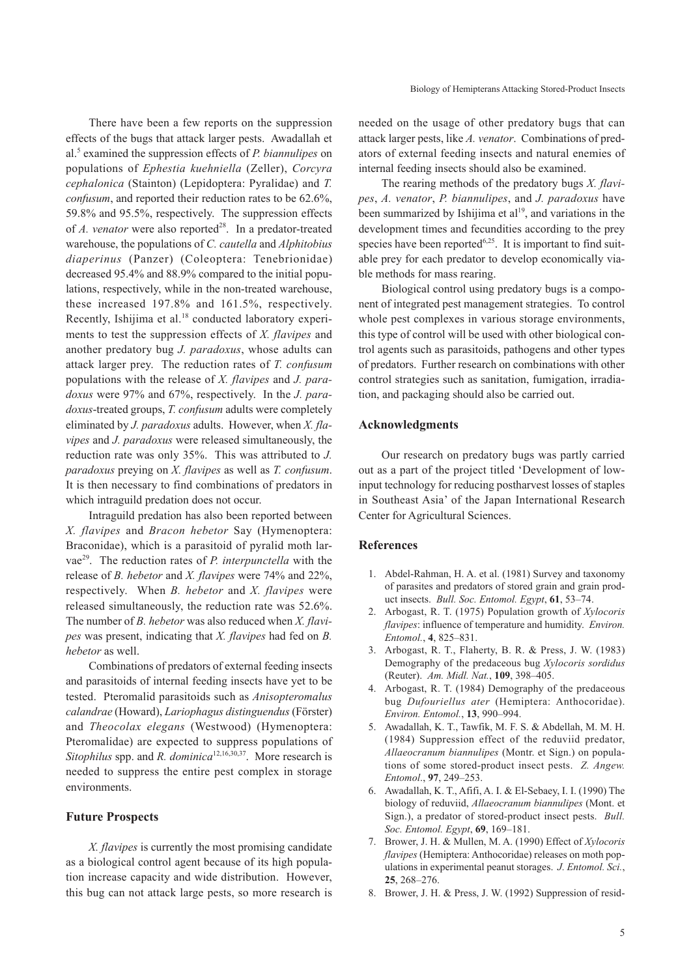There have been a few reports on the suppression effects of the bugs that attack larger pests. Awadallah et al.5 examined the suppression effects of *P. biannulipes* on populations of *Ephestia kuehniella* (Zeller), *Corcyra cephalonica* (Stainton) (Lepidoptera: Pyralidae) and *T. confusum*, and reported their reduction rates to be 62.6%, 59.8% and 95.5%, respectively. The suppression effects of *A. venator* were also reported<sup>28</sup>. In a predator-treated warehouse, the populations of *C. cautella* and *Alphitobius diaperinus* (Panzer) (Coleoptera: Tenebrionidae) decreased 95.4% and 88.9% compared to the initial populations, respectively, while in the non-treated warehouse, these increased 197.8% and 161.5%, respectively. Recently, Ishijima et al.<sup>18</sup> conducted laboratory experiments to test the suppression effects of *X. flavipes* and another predatory bug *J. paradoxus*, whose adults can attack larger prey. The reduction rates of *T. confusum* populations with the release of *X. flavipes* and *J. paradoxus* were 97% and 67%, respectively. In the *J. paradoxus*-treated groups, *T. confusum* adults were completely eliminated by *J. paradoxus* adults. However, when *X. flavipes* and *J. paradoxus* were released simultaneously, the reduction rate was only 35%. This was attributed to *J. paradoxus* preying on *X. flavipes* as well as *T. confusum*. It is then necessary to find combinations of predators in which intraguild predation does not occur.

Intraguild predation has also been reported between *X. flavipes* and *Bracon hebetor* Say (Hymenoptera: Braconidae), which is a parasitoid of pyralid moth larvae29. The reduction rates of *P. interpunctella* with the release of *B. hebetor* and *X. flavipes* were 74% and 22%, respectively. When *B. hebetor* and *X. flavipes* were released simultaneously, the reduction rate was 52.6%. The number of *B. hebetor* was also reduced when *X. flavipes* was present, indicating that *X. flavipes* had fed on *B. hebetor* as well.

Combinations of predators of external feeding insects and parasitoids of internal feeding insects have yet to be tested. Pteromalid parasitoids such as *Anisopteromalus calandrae* (Howard), *Lariophagus distinguendus* (Förster) and *Theocolax elegans* (Westwood) (Hymenoptera: Pteromalidae) are expected to suppress populations of *Sitophilus* spp. and *R. dominica*12,16,30,37. More research is needed to suppress the entire pest complex in storage environments.

## **Future Prospects**

*X. flavipes* is currently the most promising candidate as a biological control agent because of its high population increase capacity and wide distribution. However, this bug can not attack large pests, so more research is

needed on the usage of other predatory bugs that can attack larger pests, like *A. venator*. Combinations of predators of external feeding insects and natural enemies of internal feeding insects should also be examined.

The rearing methods of the predatory bugs *X. flavipes*, *A. venator*, *P. biannulipes*, and *J. paradoxus* have been summarized by Ishijima et  $al<sup>19</sup>$ , and variations in the development times and fecundities according to the prey species have been reported $6,25$ . It is important to find suitable prey for each predator to develop economically viable methods for mass rearing.

Biological control using predatory bugs is a component of integrated pest management strategies. To control whole pest complexes in various storage environments, this type of control will be used with other biological control agents such as parasitoids, pathogens and other types of predators. Further research on combinations with other control strategies such as sanitation, fumigation, irradiation, and packaging should also be carried out.

# **Acknowledgments**

Our research on predatory bugs was partly carried out as a part of the project titled 'Development of lowinput technology for reducing postharvest losses of staples in Southeast Asia' of the Japan International Research Center for Agricultural Sciences.

# **References**

- 1. Abdel-Rahman, H. A. et al. (1981) Survey and taxonomy of parasites and predators of stored grain and grain product insects. *Bull. Soc. Entomol. Egypt*, **61**, 53–74.
- 2. Arbogast, R. T. (1975) Population growth of *Xylocoris flavipes*: influence of temperature and humidity. *Environ. Entomol.*, **4**, 825–831.
- 3. Arbogast, R. T., Flaherty, B. R. & Press, J. W. (1983) Demography of the predaceous bug *Xylocoris sordidus* (Reuter). *Am. Midl. Nat.*, **109**, 398–405.
- 4. Arbogast, R. T. (1984) Demography of the predaceous bug *Dufouriellus ater* (Hemiptera: Anthocoridae). *Environ. Entomol.*, **13**, 990–994.
- 5. Awadallah, K. T., Tawfik, M. F. S. & Abdellah, M. M. H. (1984) Suppression effect of the reduviid predator, *Allaeocranum biannulipes* (Montr. et Sign.) on populations of some stored-product insect pests. *Z. Angew. Entomol*., **97**, 249–253.
- 6. Awadallah, K. T., Afifi, A. I. & El-Sebaey, I. I. (1990) The biology of reduviid, *Allaeocranum biannulipes* (Mont. et Sign.), a predator of stored-product insect pests. *Bull. Soc. Entomol. Egypt*, **69**, 169–181.
- 7. Brower, J. H. & Mullen, M. A. (1990) Effect of *Xylocoris flavipes* (Hemiptera: Anthocoridae) releases on moth populations in experimental peanut storages. *J. Entomol. Sci.*, **25**, 268–276.
- 8. Brower, J. H. & Press, J. W. (1992) Suppression of resid-